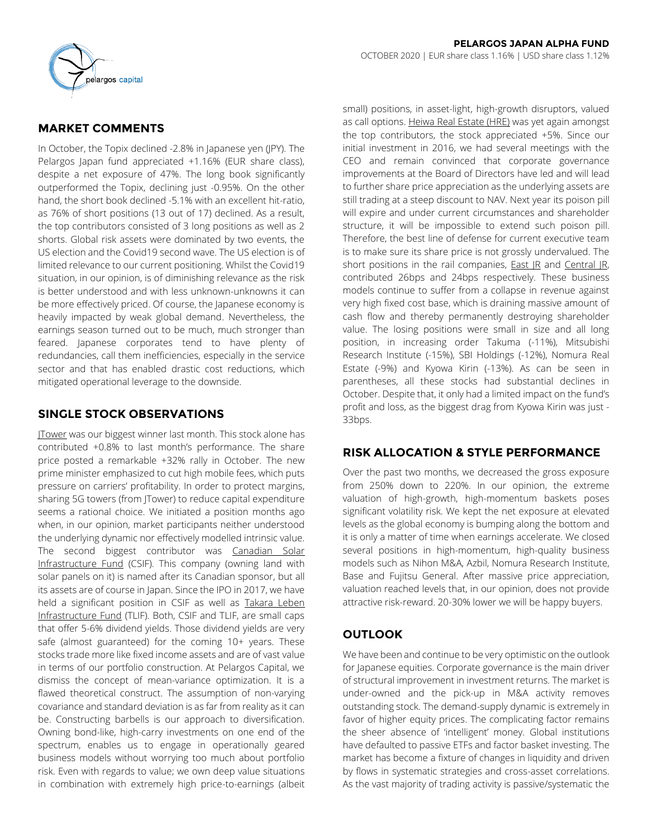

## **MARKET COMMENTS**

In October, the Topix declined -2.8% in Japanese yen (JPY). The Pelargos Japan fund appreciated +1.16% (EUR share class), despite a net exposure of 47%. The long book significantly outperformed the Topix, declining just -0.95%. On the other hand, the short book declined -5.1% with an excellent hit-ratio, as 76% of short positions (13 out of 17) declined. As a result, the top contributors consisted of 3 long positions as well as 2 shorts. Global risk assets were dominated by two events, the US election and the Covid19 second wave. The US election is of limited relevance to our current positioning. Whilst the Covid19 situation, in our opinion, is of diminishing relevance as the risk is better understood and with less unknown-unknowns it can be more effectively priced. Of course, the Japanese economy is heavily impacted by weak global demand. Nevertheless, the earnings season turned out to be much, much stronger than feared. Japanese corporates tend to have plenty of redundancies, call them inefficiencies, especially in the service sector and that has enabled drastic cost reductions, which mitigated operational leverage to the downside.

## **SINGLE STOCK OBSERVATIONS**

JTower was our biggest winner last month. This stock alone has contributed +0.8% to last month's performance. The share price posted a remarkable +32% rally in October. The new prime minister emphasized to cut high mobile fees, which puts pressure on carriers' profitability. In order to protect margins, sharing 5G towers (from JTower) to reduce capital expenditure seems a rational choice. We initiated a position months ago when, in our opinion, market participants neither understood the underlying dynamic nor effectively modelled intrinsic value. The second biggest contributor was Canadian Solar Infrastructure Fund (CSIF). This company (owning land with solar panels on it) is named after its Canadian sponsor, but all its assets are of course in Japan. Since the IPO in 2017, we have held a significant position in CSIF as well as **Takara Leben** Infrastructure Fund (TLIF). Both, CSIF and TLIF, are small caps that offer 5-6% dividend yields. Those dividend yields are very safe (almost guaranteed) for the coming 10+ years. These stocks trade more like fixed income assets and are of vast value in terms of our portfolio construction. At Pelargos Capital, we dismiss the concept of mean-variance optimization. It is a flawed theoretical construct. The assumption of non-varying covariance and standard deviation is as far from reality as it can be. Constructing barbells is our approach to diversification. Owning bond-like, high-carry investments on one end of the spectrum, enables us to engage in operationally geared business models without worrying too much about portfolio risk. Even with regards to value; we own deep value situations in combination with extremely high price-to-earnings (albeit small) positions, in asset-light, high-growth disruptors, valued as call options. Heiwa Real Estate (HRE) was yet again amongst the top contributors, the stock appreciated +5%. Since our initial investment in 2016, we had several meetings with the CEO and remain convinced that corporate governance improvements at the Board of Directors have led and will lead to further share price appreciation as the underlying assets are still trading at a steep discount to NAV. Next year its poison pill will expire and under current circumstances and shareholder structure, it will be impossible to extend such poison pill. Therefore, the best line of defense for current executive team is to make sure its share price is not grossly undervalued. The short positions in the rail companies, East JR and Central JR, contributed 26bps and 24bps respectively. These business models continue to suffer from a collapse in revenue against very high fixed cost base, which is draining massive amount of cash flow and thereby permanently destroying shareholder value. The losing positions were small in size and all long position, in increasing order Takuma (-11%), Mitsubishi Research Institute (-15%), SBI Holdings (-12%), Nomura Real Estate (-9%) and Kyowa Kirin (-13%). As can be seen in parentheses, all these stocks had substantial declines in October. Despite that, it only had a limited impact on the fund's profit and loss, as the biggest drag from Kyowa Kirin was just - 33bps.

## **RISK ALLOCATION & STYLE PERFORMANCE**

Over the past two months, we decreased the gross exposure from 250% down to 220%. In our opinion, the extreme valuation of high-growth, high-momentum baskets poses significant volatility risk. We kept the net exposure at elevated levels as the global economy is bumping along the bottom and it is only a matter of time when earnings accelerate. We closed several positions in high-momentum, high-quality business models such as Nihon M&A, Azbil, Nomura Research Institute, Base and Fujitsu General. After massive price appreciation, valuation reached levels that, in our opinion, does not provide attractive risk-reward. 20-30% lower we will be happy buyers.

# **OUTLOOK**

We have been and continue to be very optimistic on the outlook for Japanese equities. Corporate governance is the main driver of structural improvement in investment returns. The market is under-owned and the pick-up in M&A activity removes outstanding stock. The demand-supply dynamic is extremely in favor of higher equity prices. The complicating factor remains the sheer absence of 'intelligent' money. Global institutions have defaulted to passive ETFs and factor basket investing. The market has become a fixture of changes in liquidity and driven by flows in systematic strategies and cross-asset correlations. As the vast majority of trading activity is passive/systematic the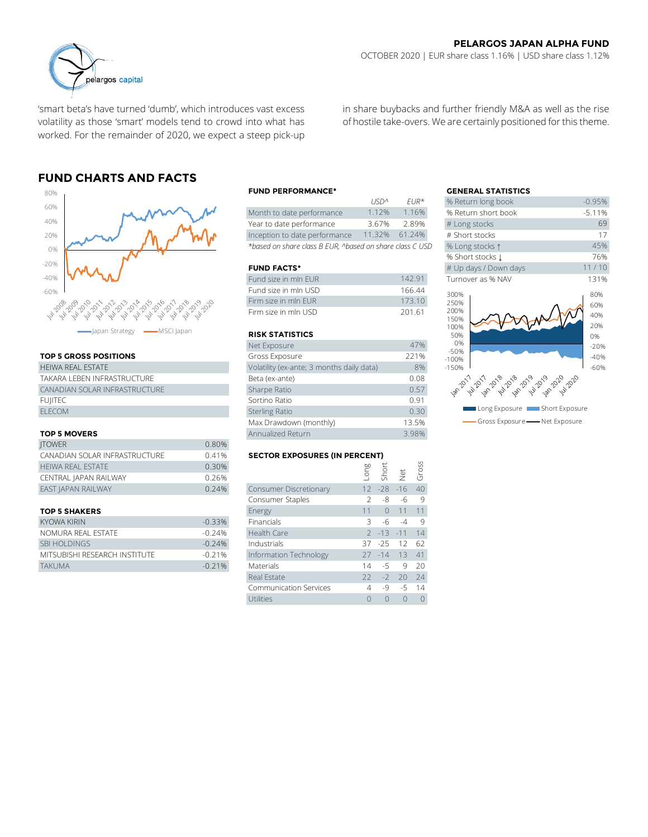

'smart beta's have turned 'dumb', which introduces vast excess volatility as those 'smart' models tend to crowd into what has worked. For the remainder of 2020, we expect a steep pick-up in share buybacks and further friendly M&A as well as the rise of hostile take-overs. We are certainly positioned for this theme.

# **FUND CHARTS AND FACTS**



#### **TOP 5 GROSS POSITIONS**

| <b>HEIWA REAL ESTATE</b>      | Volatility (ex-ante; 3 months daily data) |
|-------------------------------|-------------------------------------------|
| TAKARA I FBEN INFRASTRUCTURE  | Beta (ex-ante)                            |
| CANADIAN SOLAR INFRASTRUCTURE | Sharpe Ratio                              |
| <b>FUIITEC</b>                | Sortino Ratio                             |
| FI FCOM                       | <b>Sterling Ratio</b>                     |

#### **TOP 5 MOVERS**

|                               | Max Drawdown (monthly) |                                      |  |               |               |              |
|-------------------------------|------------------------|--------------------------------------|--|---------------|---------------|--------------|
| <b>TOP 5 MOVERS</b>           |                        | Annualized Return                    |  | 3.98%         |               |              |
| <b>ITOWER</b>                 | 0.80%                  |                                      |  |               |               |              |
| CANADIAN SOLAR INFRASTRUCTURE | 0.41%                  | <b>SECTOR EXPOSURES (IN PERCENT)</b> |  |               |               |              |
| <b>HEIWA REAL ESTATE</b>      | 0.30%                  |                                      |  | long<br>Short |               | ិន<br>ហិ     |
| CENTRAL JAPAN RAILWAY         | 0.26%                  |                                      |  |               | $\Rightarrow$ |              |
| <b>EAST JAPAN RAILWAY</b>     | 0.24%                  | Consumer Discretionary               |  | $12 - 28$     | $-16$         | $40^{\circ}$ |
|                               |                        | Consumer Staples                     |  | -8            | -6            | -9           |
|                               |                        |                                      |  |               |               |              |

| KYOWA KIRIN                   | $-0.33\%$ | Financials             |  | $3 - 6 - 4$ 9    |  |
|-------------------------------|-----------|------------------------|--|------------------|--|
| NOMURA REAL ESTATE            | $-0.24\%$ | Health Care            |  | $2 - 13 - 11$ 14 |  |
| SBI HOLDINGS                  | $-0.24%$  | Industrials            |  | 37 - 25 12 62    |  |
| MITSUBISHI RESEARCH INSTITUTE | $-0.21%$  | Information Technology |  | 27 -14 13 41     |  |
| <b>TAKUMA</b>                 | $-0.21%$  | <b>Materials</b>       |  | $14 - 5 - 9$ 20  |  |
|                               |           |                        |  |                  |  |

### **FUND PERFORMANCE\* GENERAL STATISTICS**

|                                                          | LISDA           | $FIR*$ | % Return long book  |
|----------------------------------------------------------|-----------------|--------|---------------------|
| Month to date performance                                | 1.12%           | 1.16%  | % Return short book |
| Year to date performance                                 | 3.67%           | 2.89%  | # Long stocks       |
| Inception to date performance                            | 11.32%          | 61 24% | # Short stocks      |
| *based on share class B EUR, ^based on share class C USD | % Long stocks 1 |        |                     |

#### **FUND FACTS\***

| Fund size in mln EUR | 14291  | Turnover as % NAV |
|----------------------|--------|-------------------|
| Fund size in mln USD | 166 44 | 300%              |
| Firm size in mln FUR | 173 10 | 250%              |
| Firm size in mln USD | 201.61 | 200%              |

#### **RISK STATISTICS**

| Firm size in mln FUR                      | 173.10 |
|-------------------------------------------|--------|
| Firm size in mln USD                      | 201.61 |
|                                           |        |
| <b>RISK STATISTICS</b>                    |        |
| Net Exposure                              | 47%    |
| Gross Exposure                            | 221%   |
| Volatility (ex-ante; 3 months daily data) | 8%     |
| Beta (ex-ante)                            | 0.08   |
| Sharpe Ratio                              | 0.57   |
| Sortino Ratio                             | 0.91   |
| <b>Sterling Ratio</b>                     | 0.30   |
| Max Drawdown (monthly)                    | 13.5%  |
| Annualized Return                         | 3.98%  |

### **SECTOR EXPOSURES (IN PERCENT)**

| <b>ITOWER</b>                 | 0.80%    |                                      |      |           |          |                |  |  |
|-------------------------------|----------|--------------------------------------|------|-----------|----------|----------------|--|--|
| CANADIAN SOLAR INFRASTRUCTURE | 0.41%    | <b>SECTOR EXPOSURES (IN PERCENT)</b> |      |           |          |                |  |  |
| <b>HEIWA REAL ESTATE</b>      | 0.30%    |                                      | suo- | Short     |          | Gross          |  |  |
| CENTRAL JAPAN RAILWAY         | 0.26%    |                                      |      |           | Jet      |                |  |  |
| EAST JAPAN RAILWAY            | 0.24%    | Consumer Discretionary               | 12   | $-28$     | $-16$    | 40             |  |  |
|                               |          | Consumer Staples                     | 2    | -8        | -6       | 9              |  |  |
| <b>TOP 5 SHAKERS</b>          |          | Energy                               | 11   | $\Omega$  | 11       | 11             |  |  |
| <b>KYOWA KIRIN</b>            | $-0.33%$ | Financials                           | 3    | -6        | $-4$     | 9              |  |  |
| NOMURA REAL ESTATE            | $-0.24%$ | Health Care                          |      | $2 - 13$  | $-11$    | 14             |  |  |
| <b>SBI HOLDINGS</b>           | $-0.24%$ | Industrials                          | 37   | $-25$     | 12       | 62             |  |  |
| MITSUBISHI RESEARCH INSTITUTE | $-0.21%$ | Information Technology               |      | $27 - 14$ | 13       | 41             |  |  |
| <b>TAKUMA</b>                 | $-0.21%$ | Materials                            | 14   | -5        | 9        | 20             |  |  |
|                               |          | Real Estate                          | 22   | $-2$      | 20       | 24             |  |  |
|                               |          | <b>Communication Services</b>        | 4    | $-9$      | $-5$     | 14             |  |  |
|                               |          | Utilities                            | 0    | $\Omega$  | $\Omega$ | $\overline{0}$ |  |  |
|                               |          |                                      |      |           |          |                |  |  |

|             |                        | <b>GENERAL STATISTICS</b>               |          |
|-------------|------------------------|-----------------------------------------|----------|
| <b>USDA</b> | $FIR*$                 | % Return long book                      | $-0.95%$ |
| 1.12%       | 1.16%                  | % Return short book                     | $-5.11%$ |
| 3.67%       | 2.89%                  | # Long stocks                           | 69       |
| 11.32%      | 61.24%                 | # Short stocks                          | 17       |
|             | l on share class C USD | % Long stocks 1                         | 45%      |
|             |                        | % Short stocks Į                        | 76%      |
|             |                        | # Up days / Down days                   | 11/10    |
|             | 142.91                 | Turnover as % NAV                       | 131%     |
|             | 166.44                 | 300%                                    | 80%      |
|             | 173.10                 | 250%                                    | 60%      |
|             | 201.61                 | 200%                                    | 40%      |
|             |                        | 150%<br>100%                            | 20%      |
|             |                        | 50%                                     | 0%       |
|             | 47%                    | 0%                                      | $-20%$   |
|             | 221%                   | $-50%$<br>$-100%$                       | $-40%$   |
| data)       | 8%                     | $-150%$                                 | $-60%$   |
|             | 0.08                   |                                         |          |
|             | 0.57                   | 18 29 29 29 29 29 29 29 29 29           |          |
|             | 0.91                   |                                         |          |
|             | 0.30                   | Long Exposure <b>The Short Exposure</b> |          |
|             | 13.5%                  | Gross Exposure - Net Exposure           |          |